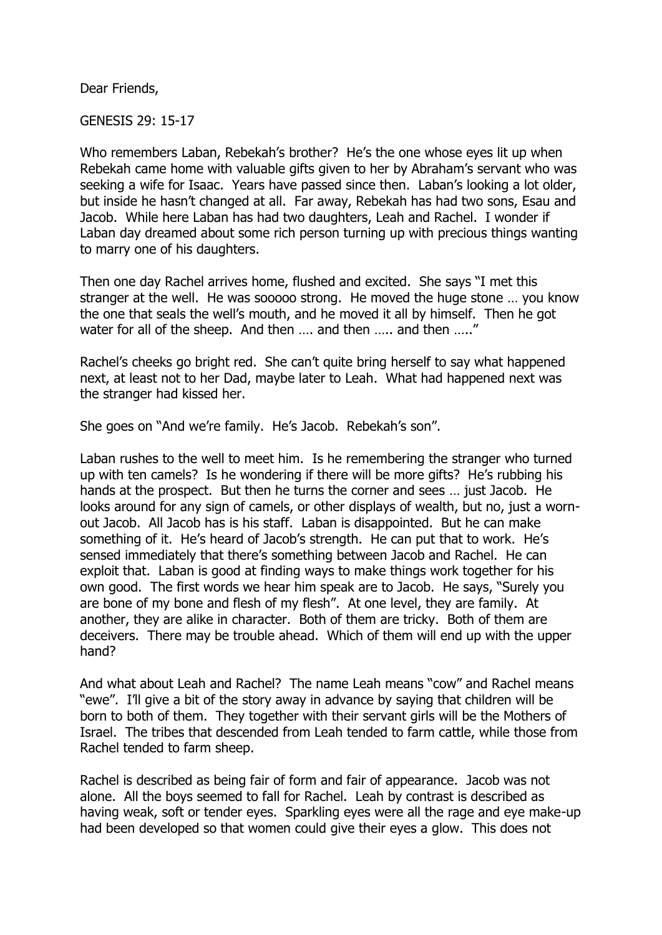Dear Friends,

GENESIS 29: 15-17

Who remembers Laban, Rebekah's brother? He's the one whose eyes lit up when Rebekah came home with valuable gifts given to her by Abraham's servant who was seeking a wife for Isaac. Years have passed since then. Laban's looking a lot older, but inside he hasn't changed at all. Far away, Rebekah has had two sons, Esau and Jacob. While here Laban has had two daughters, Leah and Rachel. I wonder if Laban day dreamed about some rich person turning up with precious things wanting to marry one of his daughters.

Then one day Rachel arrives home, flushed and excited. She says "I met this stranger at the well. He was sooooo strong. He moved the huge stone … you know the one that seals the well's mouth, and he moved it all by himself. Then he got water for all of the sheep. And then .... and then ..... and then ....."

Rachel's cheeks go bright red. She can't quite bring herself to say what happened next, at least not to her Dad, maybe later to Leah. What had happened next was the stranger had kissed her.

She goes on "And we're family. He's Jacob. Rebekah's son".

Laban rushes to the well to meet him. Is he remembering the stranger who turned up with ten camels? Is he wondering if there will be more gifts? He's rubbing his hands at the prospect. But then he turns the corner and sees … just Jacob. He looks around for any sign of camels, or other displays of wealth, but no, just a wornout Jacob. All Jacob has is his staff. Laban is disappointed. But he can make something of it. He's heard of Jacob's strength. He can put that to work. He's sensed immediately that there's something between Jacob and Rachel. He can exploit that. Laban is good at finding ways to make things work together for his own good. The first words we hear him speak are to Jacob. He says, "Surely you are bone of my bone and flesh of my flesh". At one level, they are family. At another, they are alike in character. Both of them are tricky. Both of them are deceivers. There may be trouble ahead. Which of them will end up with the upper hand?

And what about Leah and Rachel? The name Leah means "cow" and Rachel means "ewe". I'll give a bit of the story away in advance by saying that children will be born to both of them. They together with their servant girls will be the Mothers of Israel. The tribes that descended from Leah tended to farm cattle, while those from Rachel tended to farm sheep.

Rachel is described as being fair of form and fair of appearance. Jacob was not alone. All the boys seemed to fall for Rachel. Leah by contrast is described as having weak, soft or tender eyes. Sparkling eyes were all the rage and eye make-up had been developed so that women could give their eyes a glow. This does not